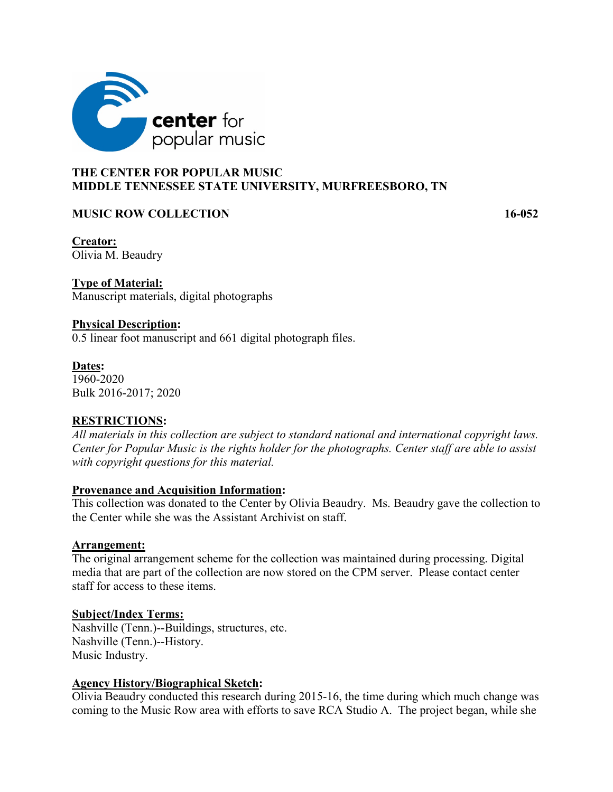

## **THE CENTER FOR POPULAR MUSIC MIDDLE TENNESSEE STATE UNIVERSITY, MURFREESBORO, TN**

### **MUSIC ROW COLLECTION 16-052**

**Creator:** Olivia M. Beaudry

**Type of Material:** Manuscript materials, digital photographs

### **Physical Description:**

0.5 linear foot manuscript and 661 digital photograph files.

**Dates:**  1960-2020 Bulk 2016-2017; 2020

# **RESTRICTIONS:**

*All materials in this collection are subject to standard national and international copyright laws. Center for Popular Music is the rights holder for the photographs. Center staff are able to assist with copyright questions for this material.* 

#### **Provenance and Acquisition Information:**

This collection was donated to the Center by Olivia Beaudry. Ms. Beaudry gave the collection to the Center while she was the Assistant Archivist on staff.

#### **Arrangement:**

The original arrangement scheme for the collection was maintained during processing. Digital media that are part of the collection are now stored on the CPM server. Please contact center staff for access to these items.

#### **Subject/Index Terms:**

Nashville (Tenn.)--Buildings, structures, etc. Nashville (Tenn.)--History. Music Industry.

#### **Agency History/Biographical Sketch:**

Olivia Beaudry conducted this research during 2015-16, the time during which much change was coming to the Music Row area with efforts to save RCA Studio A. The project began, while she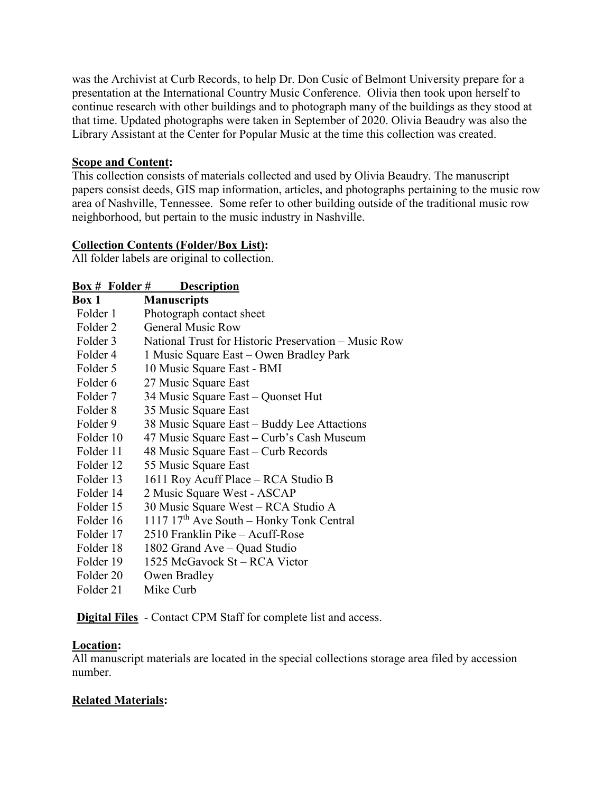was the Archivist at Curb Records, to help Dr. Don Cusic of Belmont University prepare for a presentation at the International Country Music Conference. Olivia then took upon herself to continue research with other buildings and to photograph many of the buildings as they stood at that time. Updated photographs were taken in September of 2020. Olivia Beaudry was also the Library Assistant at the Center for Popular Music at the time this collection was created.

## **Scope and Content:**

This collection consists of materials collected and used by Olivia Beaudry. The manuscript papers consist deeds, GIS map information, articles, and photographs pertaining to the music row area of Nashville, Tennessee. Some refer to other building outside of the traditional music row neighborhood, but pertain to the music industry in Nashville.

# **Collection Contents (Folder/Box List):**

All folder labels are original to collection.

### **Box # Folder # Description**

| Box 1     | <b>Manuscripts</b>                                     |
|-----------|--------------------------------------------------------|
| Folder 1  | Photograph contact sheet                               |
| Folder 2  | <b>General Music Row</b>                               |
| Folder 3  | National Trust for Historic Preservation – Music Row   |
| Folder 4  | 1 Music Square East – Owen Bradley Park                |
| Folder 5  | 10 Music Square East - BMI                             |
| Folder 6  | 27 Music Square East                                   |
| Folder 7  | 34 Music Square East - Quonset Hut                     |
| Folder 8  | 35 Music Square East                                   |
| Folder 9  | 38 Music Square East – Buddy Lee Attactions            |
| Folder 10 | 47 Music Square East – Curb's Cash Museum              |
| Folder 11 | 48 Music Square East – Curb Records                    |
| Folder 12 | 55 Music Square East                                   |
| Folder 13 | 1611 Roy Acuff Place – RCA Studio B                    |
| Folder 14 | 2 Music Square West - ASCAP                            |
| Folder 15 | 30 Music Square West – RCA Studio A                    |
| Folder 16 | $1117$ 17 <sup>th</sup> Ave South – Honky Tonk Central |
| Folder 17 | 2510 Franklin Pike – Acuff-Rose                        |
| Folder 18 | 1802 Grand Ave – Quad Studio                           |
| Folder 19 | 1525 McGavock St – RCA Victor                          |
| Folder 20 | Owen Bradley                                           |
| Folder 21 | Mike Curb                                              |

**Digital Files** - Contact CPM Staff for complete list and access.

# **Location:**

All manuscript materials are located in the special collections storage area filed by accession number.

# **Related Materials:**